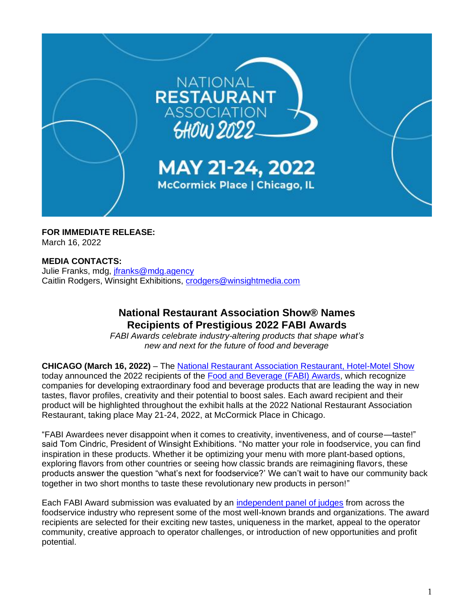

**FOR IMMEDIATE RELEASE:** March 16, 2022

## **MEDIA CONTACTS:**

Julie Franks, mdg, [jfranks@mdg.agency](mailto:jfranks@mdg.agency) Caitlin Rodgers, Winsight Exhibitions, [crodgers@winsightmedia.com](mailto:crodgers@winsightmedia.com)

# **National Restaurant Association Show® Names Recipients of Prestigious 2022 FABI Awards**

*FABI Awards celebrate industry-altering products that shape what's new and next for the future of food and beverage* 

**CHICAGO (March 16, 2022)** – The [National Restaurant Association Restaurant, Hotel-Motel Show](https://www.nationalrestaurantshow.com/) today announced the 2022 recipients of the [Food and Beverage \(FABI\) Awards,](https://www.nationalrestaurantshow.com/show-features/FABI) which recognize companies for developing extraordinary food and beverage products that are leading the way in new tastes, flavor profiles, creativity and their potential to boost sales. Each award recipient and their product will be highlighted throughout the exhibit halls at the 2022 National Restaurant Association Restaurant, taking place May 21-24, 2022, at McCormick Place in Chicago.

"FABI Awardees never disappoint when it comes to creativity, inventiveness, and of course—taste!" said Tom Cindric, President of Winsight Exhibitions. "No matter your role in foodservice, you can find inspiration in these products. Whether it be optimizing your menu with more plant-based options, exploring flavors from other countries or seeing how classic brands are reimagining flavors, these products answer the question "what's next for foodservice?' We can't wait to have our community back together in two short months to taste these revolutionary new products in person!"

Each FABI Award submission was evaluated by an [independent panel of judges](https://www.nationalrestaurantshow.com/exhibitors/fabi-awards#fabi-judges) from across the foodservice industry who represent some of the most well-known brands and organizations. The award recipients are selected for their exciting new tastes, uniqueness in the market, appeal to the operator community, creative approach to operator challenges, or introduction of new opportunities and profit potential.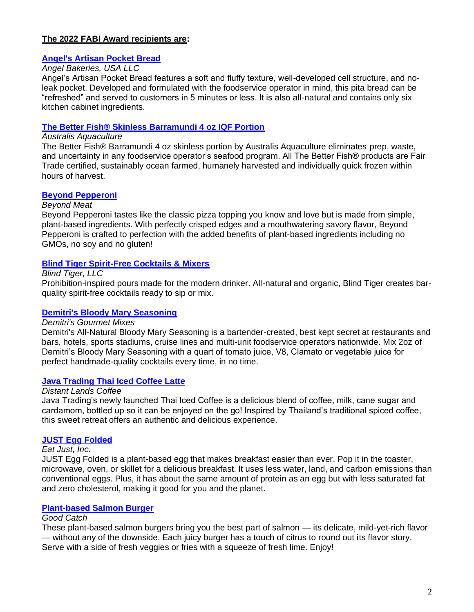### **The 2022 FABI Award recipients are:**

### **[Angel's Artisan Pocket Bread](https://directory.nationalrestaurantshow.com/8_0/exhibitor/exhibitor-details.cfm?exhid=120927)**

## *Angel Bakeries, USA LLC*

Angel's Artisan Pocket Bread features a soft and fluffy texture, well-developed cell structure, and noleak pocket. Developed and formulated with the foodservice operator in mind, this pita bread can be "refreshed" and served to customers in 5 minutes or less. It is also all-natural and contains only six kitchen cabinet ingredients.

#### **[The Better Fish® Skinless Barramundi 4 oz IQF Portion](https://directory.nationalrestaurantshow.com/8_0/exhibitor/exhibitor-details.cfm?exhid=106596)**

## *Australis Aquaculture*

The Better Fish® Barramundi 4 oz skinless portion by Australis Aquaculture eliminates prep, waste, and uncertainty in any foodservice operator's seafood program. All The Better Fish® products are Fair Trade certified, sustainably ocean farmed, humanely harvested and individually quick frozen within hours of harvest.

### **[Beyond Pepperoni](https://directory.nationalrestaurantshow.com/8_0/exhibitor/exhibitor-details.cfm?exhid=108678)**

#### *Beyond Meat*

Beyond Pepperoni tastes like the classic pizza topping you know and love but is made from simple, plant-based ingredients. With perfectly crisped edges and a mouthwatering savory flavor, Beyond Pepperoni is crafted to perfection with the added benefits of plant-based ingredients including no GMOs, no soy and no gluten!

### **[Blind Tiger Spirit-Free Cocktails & Mixers](https://directory.nationalrestaurantshow.com/8_0/exhibitor/exhibitor-details.cfm?exhid=62520676)**

*Blind Tiger, LLC*

Prohibition-inspired pours made for the modern drinker. All-natural and organic, Blind Tiger creates barquality spirit-free cocktails ready to sip or mix.

#### **[Demitri's Bloody Mary Seasoning](https://directory.nationalrestaurantshow.com/8_0/exhibitor/exhibitor-details.cfm?exhid=107340)**

#### *Demitri's Gourmet Mixes*

Demitri's All-Natural Bloody Mary Seasoning is a bartender-created, best kept secret at restaurants and bars, hotels, sports stadiums, cruise lines and multi-unit foodservice operators nationwide. Mix 2oz of Demitri's Bloody Mary Seasoning with a quart of tomato juice, V8, Clamato or vegetable juice for perfect handmade-quality cocktails every time, in no time.

#### **[Java Trading Thai Iced Coffee Latte](https://directory.nationalrestaurantshow.com/8_0/exhibitor/exhibitor-details.cfm?exhid=1470)**

#### *Distant Lands Coffee*

Java Trading's newly launched Thai Iced Coffee is a delicious blend of coffee, milk, cane sugar and cardamom, bottled up so it can be enjoyed on the go! Inspired by Thailand's traditional spiced coffee, this sweet retreat offers an authentic and delicious experience.

#### **[JUST Egg Folded](https://directory.nationalrestaurantshow.com/8_0/exhibitor/exhibitor-details.cfm?exhid=119162)**

#### *Eat Just, Inc.*

JUST Egg Folded is a plant-based egg that makes breakfast easier than ever. Pop it in the toaster, microwave, oven, or skillet for a delicious breakfast. It uses less water, land, and carbon emissions than conventional eggs. Plus, it has about the same amount of protein as an egg but with less saturated fat and zero cholesterol, making it good for you and the planet.

#### **[Plant-based Salmon Burger](https://directory.nationalrestaurantshow.com/8_0/exhibitor/exhibitor-details.cfm?exhid=118593)**

#### *Good Catch*

These plant-based salmon burgers bring you the best part of salmon — its delicate, mild-yet-rich flavor — without any of the downside. Each juicy burger has a touch of citrus to round out its flavor story. Serve with a side of fresh veggies or fries with a squeeze of fresh lime. Enjoy!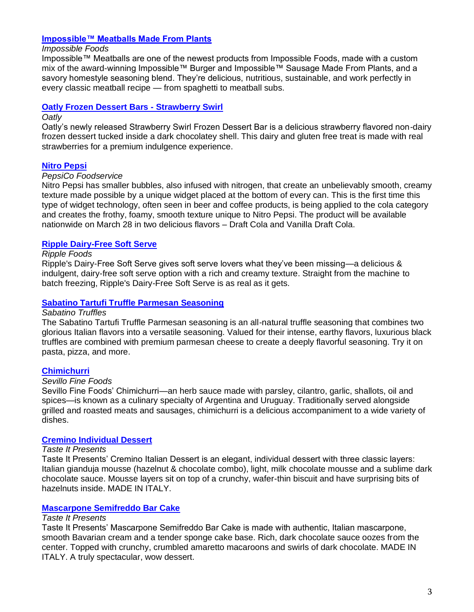### **[Impossible™ Meatballs Made From Plants](https://directory.nationalrestaurantshow.com/8_0/exhibitor/exhibitor-details.cfm?exhid=115007)**

#### *Impossible Foods*

Impossible™ Meatballs are one of the newest products from Impossible Foods, made with a custom mix of the award-winning Impossible™ Burger and Impossible™ Sausage Made From Plants, and a savory homestyle seasoning blend. They're delicious, nutritious, sustainable, and work perfectly in every classic meatball recipe — from spaghetti to meatball subs.

## **[Oatly Frozen Dessert Bars -](https://directory.nationalrestaurantshow.com/8_0/exhibitor/exhibitor-details.cfm?exhid=121068) Strawberry Swirl**

#### *Oatly*

Oatly's newly released Strawberry Swirl Frozen Dessert Bar is a delicious strawberry flavored non-dairy frozen dessert tucked inside a dark chocolatey shell. This dairy and gluten free treat is made with real strawberries for a premium indulgence experience.

## **[Nitro Pepsi](https://directory.nationalrestaurantshow.com/8_0/exhibitor/exhibitor-details.cfm?exhid=1239)**

### *PepsiCo Foodservice*

Nitro Pepsi has smaller bubbles, also infused with nitrogen, that create an unbelievably smooth, creamy texture made possible by a unique widget placed at the bottom of every can. This is the first time this type of widget technology, often seen in beer and coffee products, is being applied to the cola category and creates the frothy, foamy, smooth texture unique to Nitro Pepsi. The product will be available nationwide on March 28 in two delicious flavors – Draft Cola and Vanilla Draft Cola.

## **[Ripple Dairy-Free Soft Serve](https://directory.nationalrestaurantshow.com/8_0/exhibitor/exhibitor-details.cfm?exhid=62520688)**

### *Ripple Foods*

Ripple's Dairy-Free Soft Serve gives soft serve lovers what they've been missing—a delicious & indulgent, dairy-free soft serve option with a rich and creamy texture. Straight from the machine to batch freezing, Ripple's Dairy-Free Soft Serve is as real as it gets.

### **[Sabatino Tartufi Truffle Parmesan Seasoning](https://directory.nationalrestaurantshow.com/8_0/exhibitor/exhibitor-details.cfm?exhid=117414)**

#### *Sabatino Truffles*

The Sabatino Tartufi Truffle Parmesan seasoning is an all-natural truffle seasoning that combines two glorious Italian flavors into a versatile seasoning. Valued for their intense, earthy flavors, luxurious black truffles are combined with premium parmesan cheese to create a deeply flavorful seasoning. Try it on pasta, pizza, and more.

## **[Chimichurri](https://directory.nationalrestaurantshow.com/8_0/exhibitor/exhibitor-details.cfm?exhid=116173)**

#### *Sevillo Fine Foods*

Sevillo Fine Foods' Chimichurri—an herb sauce made with parsley, cilantro, garlic, shallots, oil and spices—is known as a culinary specialty of Argentina and Uruguay. Traditionally served alongside grilled and roasted meats and sausages, chimichurri is a delicious accompaniment to a wide variety of dishes.

#### **[Cremino Individual Dessert](https://directory.nationalrestaurantshow.com/8_0/exhibitor/exhibitor-details.cfm?exhid=298)**

#### *Taste It Presents*

Taste It Presents' Cremino Italian Dessert is an elegant, individual dessert with three classic layers: Italian gianduja mousse (hazelnut & chocolate combo), light, milk chocolate mousse and a sublime dark chocolate sauce. Mousse layers sit on top of a crunchy, wafer-thin biscuit and have surprising bits of hazelnuts inside. MADE IN ITALY.

#### **[Mascarpone Semifreddo Bar Cake](https://directory.nationalrestaurantshow.com/8_0/exhibitor/exhibitor-details.cfm?exhid=298)**

#### *Taste It Presents*

Taste It Presents' Mascarpone Semifreddo Bar Cake is made with authentic, Italian mascarpone, smooth Bavarian cream and a tender sponge cake base. Rich, dark chocolate sauce oozes from the center. Topped with crunchy, crumbled amaretto macaroons and swirls of dark chocolate. MADE IN ITALY. A truly spectacular, wow dessert.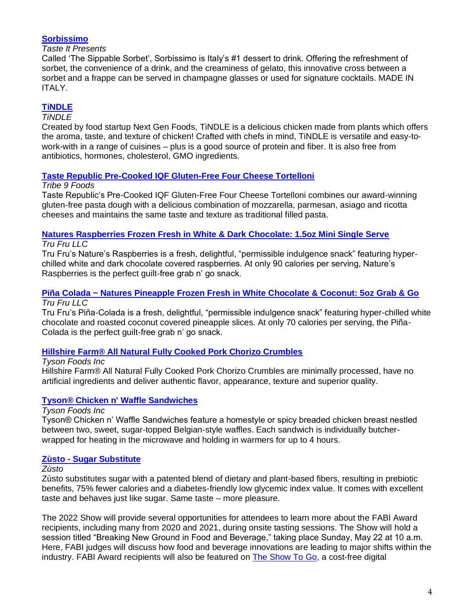## **[Sorbissimo](https://directory.nationalrestaurantshow.com/8_0/exhibitor/exhibitor-details.cfm?exhid=298)**

### *Taste It Presents*

Called 'The Sippable Sorbet', Sorbissimo is Italy's #1 dessert to drink. Offering the refreshment of sorbet, the convenience of a drink, and the creaminess of gelato, this innovative cross between a sorbet and a frappe can be served in champagne glasses or used for signature cocktails. MADE IN ITALY.

# **[TiNDLE](https://directory.nationalrestaurantshow.com/8_0/exhibitor/exhibitor-details.cfm?exhid=62520890)**

## *TiNDLE*

Created by food startup Next Gen Foods, TiNDLE is a delicious chicken made from plants which offers the aroma, taste, and texture of chicken! Crafted with chefs in mind, TiNDLE is versatile and easy-towork-with in a range of cuisines – plus is a good source of protein and fiber. It is also free from antibiotics, hormones, cholesterol, GMO ingredients.

## **[Taste Republic Pre-Cooked IQF Gluten-Free Four Cheese Tortelloni](https://directory.nationalrestaurantshow.com/8_0/exhibitor/exhibitor-details.cfm?exhid=53252)**

## *Tribe 9 Foods*

Taste Republic's Pre-Cooked IQF Gluten-Free Four Cheese Tortelloni combines our award-winning gluten-free pasta dough with a delicious combination of mozzarella, parmesan, asiago and ricotta cheeses and maintains the same taste and texture as traditional filled pasta.

# **[Natures Raspberries Frozen Fresh in White & Dark Chocolate: 1.5oz Mini Single Serve](https://directory.nationalrestaurantshow.com/8_0/exhibitor/exhibitor-details.cfm?exhid=62520617)**

### *Tru Fru LLC*

Tru Fru's Nature's Raspberries is a fresh, delightful, "permissible indulgence snack" featuring hyperchilled white and dark chocolate covered raspberries. At only 90 calories per serving, Nature's Raspberries is the perfect guilt-free grab n' go snack.

## **[Piña Colada ~ Natures Pineapple Frozen Fresh in White Chocolate & Coconut: 5oz Grab & Go](https://directory.nationalrestaurantshow.com/8_0/exhibitor/exhibitor-details.cfm?exhid=62520617)** *Tru Fru LLC*

Tru Fru's Piña-Colada is a fresh, delightful, "permissible indulgence snack" featuring hyper-chilled white chocolate and roasted coconut covered pineapple slices. At only 70 calories per serving, the Piña-Colada is the perfect guilt-free grab n' go snack.

## **[Hillshire Farm® All Natural Fully Cooked Pork Chorizo Crumbles](https://directory.nationalrestaurantshow.com/8_0/exhibitor/exhibitor-details.cfm?exhid=346)**

## *Tyson Foods Inc*

Hillshire Farm® All Natural Fully Cooked Pork Chorizo Crumbles are minimally processed, have no artificial ingredients and deliver authentic flavor, appearance, texture and superior quality.

## **[Tyson® Chicken n' Waffle Sandwiches](https://directory.nationalrestaurantshow.com/8_0/exhibitor/exhibitor-details.cfm?exhid=346)**

## *Tyson Foods Inc*

Tyson® Chicken n' Waffle Sandwiches feature a homestyle or spicy breaded chicken breast nestled between two, sweet, sugar-topped Belgian-style waffles. Each sandwich is individually butcherwrapped for heating in the microwave and holding in warmers for up to 4 hours.

## **Zùsto - [Sugar Substitute](https://directory.nationalrestaurantshow.com/8_0/exhibitor/exhibitor-details.cfm?exhid=62520713)**

## *Zùsto*

Zùsto substitutes sugar with a patented blend of dietary and plant-based fibers, resulting in prebiotic benefits, 75% fewer calories and a diabetes-friendly low glycemic index value. It comes with excellent taste and behaves just like sugar. Same taste – more pleasure.

The 2022 Show will provide several opportunities for attendees to learn more about the FABI Award recipients, including many from 2020 and 2021, during onsite tasting sessions. The Show will hold a session titled "Breaking New Ground in Food and Beverage," taking place Sunday, May 22 at 10 a.m. Here, FABI judges will discuss how food and beverage innovations are leading to major shifts within the industry. FABI Award recipients will also be featured on [The Show To Go,](https://www.nationalrestaurantshow.com/mys/show-to-go) a cost-free digital